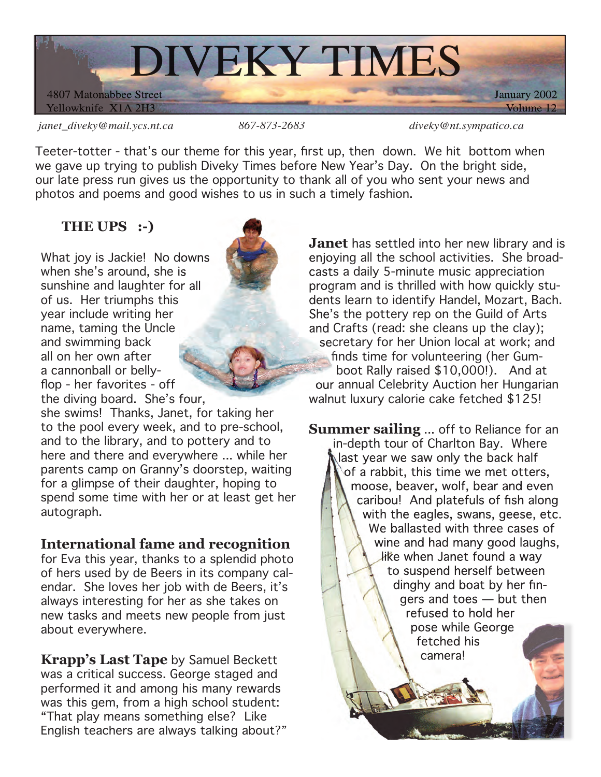

*janet\_diveky@mail.ycs.nt.ca 867-873-2683 diveky@nt.sympatico.ca*

Teeter-totter - that's our theme for this year, first up, then down. We hit bottom when we gave up trying to publish Diveky Times before New Year's Day. On the bright side, our late press run gives us the opportunity to thank all of you who sent your news and photos and poems and good wishes to us in such a timely fashion.

## **THE UPS :-)**

What joy is Jackie! No downs when she's around, she is sunshine and laughter for all of us. Her triumphs this year include writing her name, taming the Uncle and swimming back all on her own after a cannonball or bellyflop - her favorites - off the diving board. She's four,



she swims! Thanks, Janet, for taking her to the pool every week, and to pre-school, and to the library, and to pottery and to here and there and everywhere ... while her parents camp on Granny's doorstep, waiting for a glimpse of their daughter, hoping to spend some time with her or at least get her autograph.

## **International fame and recognition**

for Eva this year, thanks to a splendid photo of hers used by de Beers in its company calendar. She loves her job with de Beers, it's always interesting for her as she takes on new tasks and meets new people from just about everywhere.

**Krapp's Last Tape** by Samuel Beckett was a critical success. George staged and performed it and among his many rewards was this gem, from a high school student: "That play means something else? Like English teachers are always talking about?"

**Janet** has settled into her new library and is enjoying all the school activities. She broadcasts a daily 5-minute music appreciation program and is thrilled with how quickly students learn to identify Handel, Mozart, Bach. She's the pottery rep on the Guild of Arts and Crafts (read: she cleans up the clay); secretary for her Union local at work; and finds time for volunteering (her Gumboot Rally raised \$10,000!). And at our annual Celebrity Auction her Hungarian walnut luxury calorie cake fetched \$125!

**Summer sailing** ... off to Reliance for an in-depth tour of Charlton Bay. Where last year we saw only the back half of a rabbit, this time we met otters, moose, beaver, wolf, bear and even caribou! And platefuls of fish along with the eagles, swans, geese, etc. We ballasted with three cases of wine and had many good laughs, like when Janet found a way to suspend herself between dinghy and boat by her fingers and toes — but then refused to hold her pose while George fetched his camera!